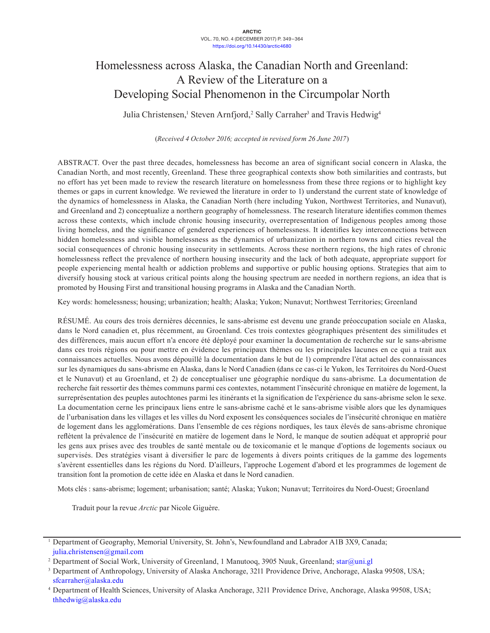# Homelessness across Alaska, the Canadian North and Greenland: A Review of the Literature on a Developing Social Phenomenon in the Circumpolar North

Julia Christensen,<sup>1</sup> Steven Arnfjord,<sup>2</sup> Sally Carraher<sup>3</sup> and Travis Hedwig<sup>4</sup>

(*Received 4 October 2016; accepted in revised form 26 June 2017*)

ABSTRACT. Over the past three decades, homelessness has become an area of significant social concern in Alaska, the Canadian North, and most recently, Greenland. These three geographical contexts show both similarities and contrasts, but no effort has yet been made to review the research literature on homelessness from these three regions or to highlight key themes or gaps in current knowledge. We reviewed the literature in order to 1) understand the current state of knowledge of the dynamics of homelessness in Alaska, the Canadian North (here including Yukon, Northwest Territories, and Nunavut), and Greenland and 2) conceptualize a northern geography of homelessness. The research literature identifies common themes across these contexts, which include chronic housing insecurity, overrepresentation of Indigenous peoples among those living homeless, and the significance of gendered experiences of homelessness. It identifies key interconnections between hidden homelessness and visible homelessness as the dynamics of urbanization in northern towns and cities reveal the social consequences of chronic housing insecurity in settlements. Across these northern regions, the high rates of chronic homelessness reflect the prevalence of northern housing insecurity and the lack of both adequate, appropriate support for people experiencing mental health or addiction problems and supportive or public housing options. Strategies that aim to diversify housing stock at various critical points along the housing spectrum are needed in northern regions, an idea that is promoted by Housing First and transitional housing programs in Alaska and the Canadian North.

Key words: homelessness; housing; urbanization; health; Alaska; Yukon; Nunavut; Northwest Territories; Greenland

RÉSUMÉ. Au cours des trois dernières décennies, le sans-abrisme est devenu une grande préoccupation sociale en Alaska, dans le Nord canadien et, plus récemment, au Groenland. Ces trois contextes géographiques présentent des similitudes et des différences, mais aucun effort n'a encore été déployé pour examiner la documentation de recherche sur le sans-abrisme dans ces trois régions ou pour mettre en évidence les principaux thèmes ou les principales lacunes en ce qui a trait aux connaissances actuelles. Nous avons dépouillé la documentation dans le but de 1) comprendre l'état actuel des connaissances sur les dynamiques du sans-abrisme en Alaska, dans le Nord Canadien (dans ce cas-ci le Yukon, les Territoires du Nord-Ouest et le Nunavut) et au Groenland, et 2) de conceptualiser une géographie nordique du sans-abrisme. La documentation de recherche fait ressortir des thèmes communs parmi ces contextes, notamment l'insécurité chronique en matière de logement, la surreprésentation des peuples autochtones parmi les itinérants et la signification de l'expérience du sans-abrisme selon le sexe. La documentation cerne les principaux liens entre le sans-abrisme caché et le sans-abrisme visible alors que les dynamiques de l'urbanisation dans les villages et les villes du Nord exposent les conséquences sociales de l'insécurité chronique en matière de logement dans les agglomérations. Dans l'ensemble de ces régions nordiques, les taux élevés de sans-abrisme chronique reflètent la prévalence de l'insécurité en matière de logement dans le Nord, le manque de soutien adéquat et approprié pour les gens aux prises avec des troubles de santé mentale ou de toxicomanie et le manque d'options de logements sociaux ou supervisés. Des stratégies visant à diversifier le parc de logements à divers points critiques de la gamme des logements s'avèrent essentielles dans les régions du Nord. D'ailleurs, l'approche Logement d'abord et les programmes de logement de transition font la promotion de cette idée en Alaska et dans le Nord canadien.

Mots clés : sans-abrisme; logement; urbanisation; santé; Alaska; Yukon; Nunavut; Territoires du Nord-Ouest; Groenland

Traduit pour la revue *Arctic* par Nicole Giguère.

<sup>1</sup> Department of Geography, Memorial University, St. John's, Newfoundland and Labrador A1B 3X9, Canada; [julia.christensen@gmail.com](mailto:julia.christensen@gmail.com)

<sup>&</sup>lt;sup>2</sup> Department of Social Work, University of Greenland, 1 Manutooq, 3905 Nuuk, Greenland; [star@uni.gl](mailto:star@uni.gl)

<sup>3</sup> Department of Anthropology, University of Alaska Anchorage, 3211 Providence Drive, Anchorage, Alaska 99508, USA; [sfcarraher@alaska.edu](mailto:sfcarraher@alaska.edu)

<sup>4</sup> Department of Health Sciences, University of Alaska Anchorage, 3211 Providence Drive, Anchorage, Alaska 99508, USA; thhedwig@alaska.edu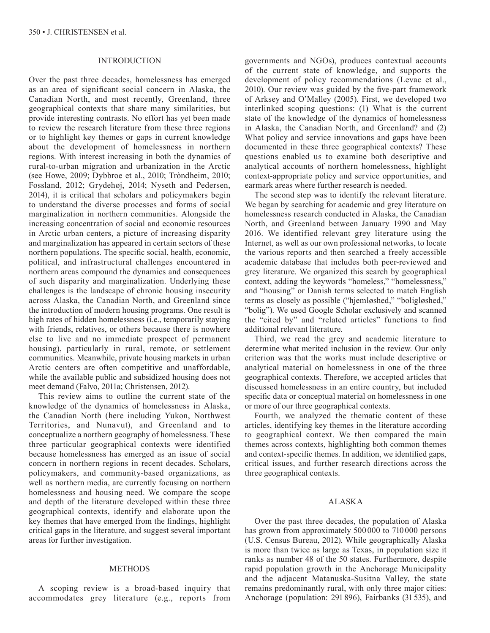## INTRODUCTION

Over the past three decades, homelessness has emerged as an area of significant social concern in Alaska, the Canadian North, and most recently, Greenland, three geographical contexts that share many similarities, but provide interesting contrasts. No effort has yet been made to review the research literature from these three regions or to highlight key themes or gaps in current knowledge about the development of homelessness in northern regions. With interest increasing in both the dynamics of rural-to-urban migration and urbanization in the Arctic (see Howe, 2009; Dybbroe et al., 2010; Tròndheim, 2010; Fossland, 2012; Grydehøj, 2014; Nyseth and Pedersen, 2014), it is critical that scholars and policymakers begin to understand the diverse processes and forms of social marginalization in northern communities. Alongside the increasing concentration of social and economic resources in Arctic urban centers, a picture of increasing disparity and marginalization has appeared in certain sectors of these northern populations. The specific social, health, economic, political, and infrastructural challenges encountered in northern areas compound the dynamics and consequences of such disparity and marginalization. Underlying these challenges is the landscape of chronic housing insecurity across Alaska, the Canadian North, and Greenland since the introduction of modern housing programs. One result is high rates of hidden homelessness (i.e., temporarily staying with friends, relatives, or others because there is nowhere else to live and no immediate prospect of permanent housing), particularly in rural, remote, or settlement communities. Meanwhile, private housing markets in urban Arctic centers are often competitive and unaffordable, while the available public and subsidized housing does not meet demand (Falvo, 2011a; Christensen, 2012).

This review aims to outline the current state of the knowledge of the dynamics of homelessness in Alaska, the Canadian North (here including Yukon, Northwest Territories, and Nunavut), and Greenland and to conceptualize a northern geography of homelessness. These three particular geographical contexts were identified because homelessness has emerged as an issue of social concern in northern regions in recent decades. Scholars, policymakers, and community-based organizations, as well as northern media, are currently focusing on northern homelessness and housing need. We compare the scope and depth of the literature developed within these three geographical contexts, identify and elaborate upon the key themes that have emerged from the findings, highlight critical gaps in the literature, and suggest several important areas for further investigation.

### METHODS

A scoping review is a broad-based inquiry that accommodates grey literature (e.g., reports from governments and NGOs), produces contextual accounts of the current state of knowledge, and supports the development of policy recommendations (Levac et al., 2010). Our review was guided by the five-part framework of Arksey and O'Malley (2005). First, we developed two interlinked scoping questions: (1) What is the current state of the knowledge of the dynamics of homelessness in Alaska, the Canadian North, and Greenland? and (2) What policy and service innovations and gaps have been documented in these three geographical contexts? These questions enabled us to examine both descriptive and analytical accounts of northern homelessness, highlight context-appropriate policy and service opportunities, and earmark areas where further research is needed.

The second step was to identify the relevant literature. We began by searching for academic and grey literature on homelessness research conducted in Alaska, the Canadian North, and Greenland between January 1990 and May 2016. We identified relevant grey literature using the Internet, as well as our own professional networks, to locate the various reports and then searched a freely accessible academic database that includes both peer-reviewed and grey literature. We organized this search by geographical context, adding the keywords "homeless," "homelessness," and "housing" or Danish terms selected to match English terms as closely as possible ("hjemløshed," "boligløshed," "bolig"). We used Google Scholar exclusively and scanned the "cited by" and "related articles" functions to find additional relevant literature.

Third, we read the grey and academic literature to determine what merited inclusion in the review. Our only criterion was that the works must include descriptive or analytical material on homelessness in one of the three geographical contexts. Therefore, we accepted articles that discussed homelessness in an entire country, but included specific data or conceptual material on homelessness in one or more of our three geographical contexts.

Fourth, we analyzed the thematic content of these articles, identifying key themes in the literature according to geographical context. We then compared the main themes across contexts, highlighting both common themes and context-specific themes. In addition, we identified gaps, critical issues, and further research directions across the three geographical contexts.

## ALASKA

Over the past three decades, the population of Alaska has grown from approximately 500 000 to 710 000 persons (U.S. Census Bureau, 2012). While geographically Alaska is more than twice as large as Texas, in population size it ranks as number 48 of the 50 states. Furthermore, despite rapid population growth in the Anchorage Municipality and the adjacent Matanuska-Susitna Valley, the state remains predominantly rural, with only three major cities: Anchorage (population: 291 896), Fairbanks (31 535), and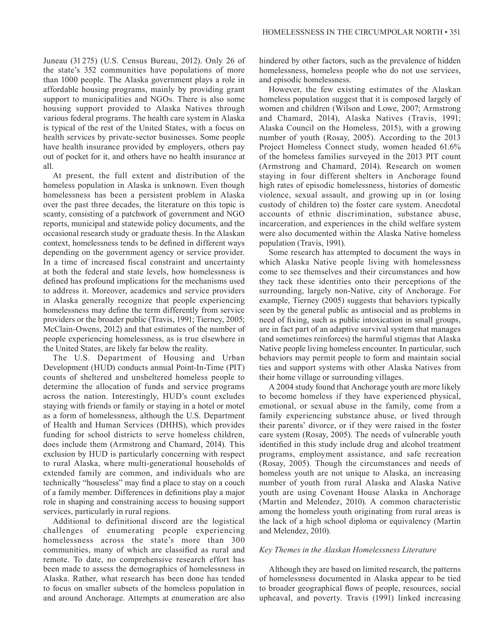Juneau (31 275) (U.S. Census Bureau, 2012). Only 26 of the state's 352 communities have populations of more than 1000 people. The Alaska government plays a role in affordable housing programs, mainly by providing grant support to municipalities and NGOs. There is also some housing support provided to Alaska Natives through various federal programs. The health care system in Alaska is typical of the rest of the United States, with a focus on health services by private-sector businesses. Some people have health insurance provided by employers, others pay out of pocket for it, and others have no health insurance at all.

At present, the full extent and distribution of the homeless population in Alaska is unknown. Even though homelessness has been a persistent problem in Alaska over the past three decades, the literature on this topic is scanty, consisting of a patchwork of government and NGO reports, municipal and statewide policy documents, and the occasional research study or graduate thesis. In the Alaskan context, homelessness tends to be defined in different ways depending on the government agency or service provider. In a time of increased fiscal constraint and uncertainty at both the federal and state levels, how homelessness is defined has profound implications for the mechanisms used to address it. Moreover, academics and service providers in Alaska generally recognize that people experiencing homelessness may define the term differently from service providers or the broader public (Travis, 1991; Tierney, 2005; McClain-Owens, 2012) and that estimates of the number of people experiencing homelessness, as is true elsewhere in the United States, are likely far below the reality.

The U.S. Department of Housing and Urban Development (HUD) conducts annual Point-In-Time (PIT) counts of sheltered and unsheltered homeless people to determine the allocation of funds and service programs across the nation. Interestingly, HUD's count excludes staying with friends or family or staying in a hotel or motel as a form of homelessness, although the U.S. Department of Health and Human Services (DHHS), which provides funding for school districts to serve homeless children, does include them (Armstrong and Chamard, 2014). This exclusion by HUD is particularly concerning with respect to rural Alaska, where multi-generational households of extended family are common, and individuals who are technically "houseless" may find a place to stay on a couch of a family member. Differences in definitions play a major role in shaping and constraining access to housing support services, particularly in rural regions.

Additional to definitional discord are the logistical challenges of enumerating people experiencing homelessness across the state's more than 300 communities, many of which are classified as rural and remote. To date, no comprehensive research effort has been made to assess the demographics of homelessness in Alaska. Rather, what research has been done has tended to focus on smaller subsets of the homeless population in and around Anchorage. Attempts at enumeration are also

hindered by other factors, such as the prevalence of hidden homelessness, homeless people who do not use services, and episodic homelessness.

However, the few existing estimates of the Alaskan homeless population suggest that it is composed largely of women and children (Wilson and Lowe, 2007; Armstrong and Chamard, 2014), Alaska Natives (Travis, 1991; Alaska Council on the Homeless, 2015), with a growing number of youth (Rosay, 2005). According to the 2013 Project Homeless Connect study, women headed 61.6% of the homeless families surveyed in the 2013 PIT count (Armstrong and Chamard, 2014). Research on women staying in four different shelters in Anchorage found high rates of episodic homelessness, histories of domestic violence, sexual assault, and growing up in (or losing custody of children to) the foster care system. Anecdotal accounts of ethnic discrimination, substance abuse, incarceration, and experiences in the child welfare system were also documented within the Alaska Native homeless population (Travis, 1991).

Some research has attempted to document the ways in which Alaska Native people living with homelessness come to see themselves and their circumstances and how they tack these identities onto their perceptions of the surrounding, largely non-Native, city of Anchorage. For example, Tierney (2005) suggests that behaviors typically seen by the general public as antisocial and as problems in need of fixing, such as public intoxication in small groups, are in fact part of an adaptive survival system that manages (and sometimes reinforces) the harmful stigmas that Alaska Native people living homeless encounter. In particular, such behaviors may permit people to form and maintain social ties and support systems with other Alaska Natives from their home village or surrounding villages.

A 2004 study found that Anchorage youth are more likely to become homeless if they have experienced physical, emotional, or sexual abuse in the family, come from a family experiencing substance abuse, or lived through their parents' divorce, or if they were raised in the foster care system (Rosay, 2005). The needs of vulnerable youth identified in this study include drug and alcohol treatment programs, employment assistance, and safe recreation (Rosay, 2005). Though the circumstances and needs of homeless youth are not unique to Alaska, an increasing number of youth from rural Alaska and Alaska Native youth are using Covenant House Alaska in Anchorage (Martin and Melendez, 2010). A common characteristic among the homeless youth originating from rural areas is the lack of a high school diploma or equivalency (Martin and Melendez, 2010).

## *Key Themes in the Alaskan Homelessness Literature*

Although they are based on limited research, the patterns of homelessness documented in Alaska appear to be tied to broader geographical flows of people, resources, social upheaval, and poverty. Travis (1991) linked increasing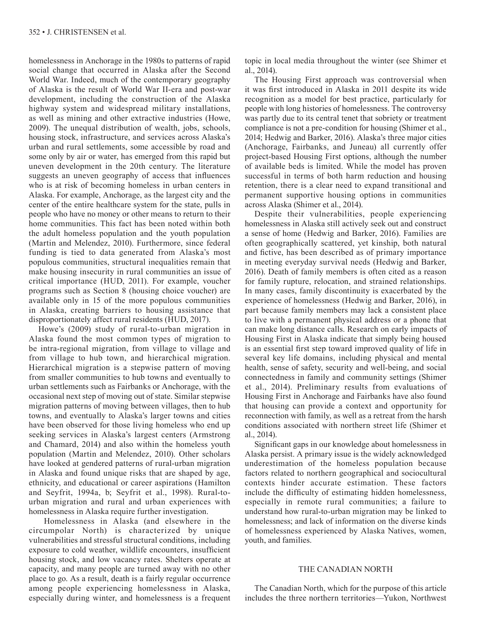homelessness in Anchorage in the 1980s to patterns of rapid social change that occurred in Alaska after the Second World War. Indeed, much of the contemporary geography of Alaska is the result of World War II-era and post-war development, including the construction of the Alaska highway system and widespread military installations, as well as mining and other extractive industries (Howe, 2009). The unequal distribution of wealth, jobs, schools, housing stock, infrastructure, and services across Alaska's urban and rural settlements, some accessible by road and some only by air or water, has emerged from this rapid but uneven development in the 20th century. The literature suggests an uneven geography of access that influences who is at risk of becoming homeless in urban centers in Alaska. For example, Anchorage, as the largest city and the center of the entire healthcare system for the state, pulls in people who have no money or other means to return to their home communities. This fact has been noted within both the adult homeless population and the youth population (Martin and Melendez, 2010). Furthermore, since federal funding is tied to data generated from Alaska's most populous communities, structural inequalities remain that make housing insecurity in rural communities an issue of critical importance (HUD, 2011). For example, voucher programs such as Section 8 (housing choice voucher) are available only in 15 of the more populous communities in Alaska, creating barriers to housing assistance that disproportionately affect rural residents (HUD, 2017).

Howe's (2009) study of rural-to-urban migration in Alaska found the most common types of migration to be intra-regional migration, from village to village and from village to hub town, and hierarchical migration. Hierarchical migration is a stepwise pattern of moving from smaller communities to hub towns and eventually to urban settlements such as Fairbanks or Anchorage, with the occasional next step of moving out of state. Similar stepwise migration patterns of moving between villages, then to hub towns, and eventually to Alaska's larger towns and cities have been observed for those living homeless who end up seeking services in Alaska's largest centers (Armstrong and Chamard, 2014) and also within the homeless youth population (Martin and Melendez, 2010). Other scholars have looked at gendered patterns of rural-urban migration in Alaska and found unique risks that are shaped by age, ethnicity, and educational or career aspirations (Hamilton and Seyfrit, 1994a, b; Seyfrit et al., 1998). Rural-tourban migration and rural and urban experiences with homelessness in Alaska require further investigation.

 Homelessness in Alaska (and elsewhere in the circumpolar North) is characterized by unique vulnerabilities and stressful structural conditions, including exposure to cold weather, wildlife encounters, insufficient housing stock, and low vacancy rates. Shelters operate at capacity, and many people are turned away with no other place to go. As a result, death is a fairly regular occurrence among people experiencing homelessness in Alaska, especially during winter, and homelessness is a frequent

topic in local media throughout the winter (see Shimer et al., 2014).

The Housing First approach was controversial when it was first introduced in Alaska in 2011 despite its wide recognition as a model for best practice, particularly for people with long histories of homelessness. The controversy was partly due to its central tenet that sobriety or treatment compliance is not a pre-condition for housing (Shimer et al., 2014; Hedwig and Barker, 2016). Alaska's three major cities (Anchorage, Fairbanks, and Juneau) all currently offer project-based Housing First options, although the number of available beds is limited. While the model has proven successful in terms of both harm reduction and housing retention, there is a clear need to expand transitional and permanent supportive housing options in communities across Alaska (Shimer et al., 2014).

Despite their vulnerabilities, people experiencing homelessness in Alaska still actively seek out and construct a sense of home (Hedwig and Barker, 2016). Families are often geographically scattered, yet kinship, both natural and fictive, has been described as of primary importance in meeting everyday survival needs (Hedwig and Barker, 2016). Death of family members is often cited as a reason for family rupture, relocation, and strained relationships. In many cases, family discontinuity is exacerbated by the experience of homelessness (Hedwig and Barker, 2016), in part because family members may lack a consistent place to live with a permanent physical address or a phone that can make long distance calls. Research on early impacts of Housing First in Alaska indicate that simply being housed is an essential first step toward improved quality of life in several key life domains, including physical and mental health, sense of safety, security and well-being, and social connectedness in family and community settings (Shimer et al., 2014). Preliminary results from evaluations of Housing First in Anchorage and Fairbanks have also found that housing can provide a context and opportunity for reconnection with family, as well as a retreat from the harsh conditions associated with northern street life (Shimer et al., 2014).

Significant gaps in our knowledge about homelessness in Alaska persist. A primary issue is the widely acknowledged underestimation of the homeless population because factors related to northern geographical and sociocultural contexts hinder accurate estimation. These factors include the difficulty of estimating hidden homelessness, especially in remote rural communities; a failure to understand how rural-to-urban migration may be linked to homelessness; and lack of information on the diverse kinds of homelessness experienced by Alaska Natives, women, youth, and families.

## THE CANADIAN NORTH

The Canadian North, which for the purpose of this article includes the three northern territories—Yukon, Northwest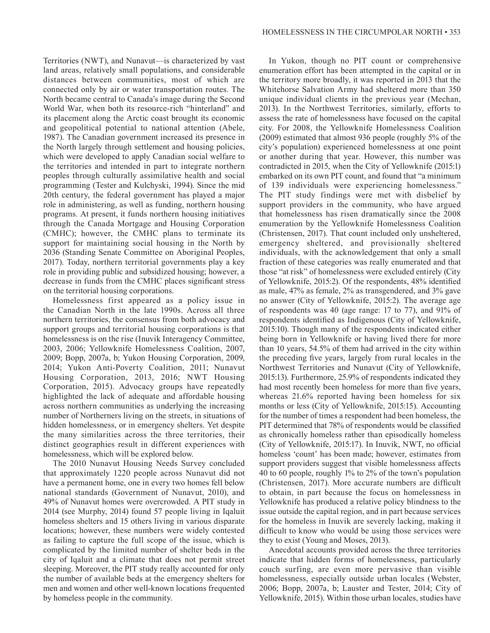Territories (NWT), and Nunavut—is characterized by vast land areas, relatively small populations, and considerable distances between communities, most of which are connected only by air or water transportation routes. The North became central to Canada's image during the Second World War, when both its resource-rich "hinterland" and its placement along the Arctic coast brought its economic and geopolitical potential to national attention (Abele, 1987). The Canadian government increased its presence in the North largely through settlement and housing policies, which were developed to apply Canadian social welfare to the territories and intended in part to integrate northern peoples through culturally assimilative health and social programming (Tester and Kulchyski, 1994). Since the mid 20th century, the federal government has played a major role in administering, as well as funding, northern housing programs. At present, it funds northern housing initiatives through the Canada Mortgage and Housing Corporation (CMHC); however, the CMHC plans to terminate its support for maintaining social housing in the North by 2036 (Standing Senate Committee on Aboriginal Peoples, 2017). Today, northern territorial governments play a key role in providing public and subsidized housing; however, a decrease in funds from the CMHC places significant stress on the territorial housing corporations.

Homelessness first appeared as a policy issue in the Canadian North in the late 1990s. Across all three northern territories, the consensus from both advocacy and support groups and territorial housing corporations is that homelessness is on the rise (Inuvik Interagency Committee, 2003, 2006; Yellowknife Homelessness Coalition, 2007, 2009; Bopp, 2007a, b; Yukon Housing Corporation, 2009, 2014; Yukon Anti-Poverty Coalition, 2011; Nunavut Housing Corporation, 2013, 2016; NWT Housing Corporation, 2015). Advocacy groups have repeatedly highlighted the lack of adequate and affordable housing across northern communities as underlying the increasing number of Northerners living on the streets, in situations of hidden homelessness, or in emergency shelters. Yet despite the many similarities across the three territories, their distinct geographies result in different experiences with homelessness, which will be explored below.

The 2010 Nunavut Housing Needs Survey concluded that approximately 1220 people across Nunavut did not have a permanent home, one in every two homes fell below national standards (Government of Nunavut, 2010), and 49% of Nunavut homes were overcrowded. A PIT study in 2014 (see Murphy, 2014) found 57 people living in Iqaluit homeless shelters and 15 others living in various disparate locations; however, these numbers were widely contested as failing to capture the full scope of the issue, which is complicated by the limited number of shelter beds in the city of Iqaluit and a climate that does not permit street sleeping. Moreover, the PIT study really accounted for only the number of available beds at the emergency shelters for men and women and other well-known locations frequented by homeless people in the community.

In Yukon, though no PIT count or comprehensive enumeration effort has been attempted in the capital or in the territory more broadly, it was reported in 2013 that the Whitehorse Salvation Army had sheltered more than 350 unique individual clients in the previous year (Mechan, 2013). In the Northwest Territories, similarly, efforts to assess the rate of homelessness have focused on the capital city. For 2008, the Yellowknife Homelessness Coalition (2009) estimated that almost 936 people (roughly 5% of the city's population) experienced homelessness at one point or another during that year. However, this number was contradicted in 2015, when the City of Yellowknife (2015:1) embarked on its own PIT count, and found that "a minimum of 139 individuals were experiencing homelessness." The PIT study findings were met with disbelief by support providers in the community, who have argued that homelessness has risen dramatically since the 2008 enumeration by the Yellowknife Homelessness Coalition (Christensen, 2017). That count included only unsheltered, emergency sheltered, and provisionally sheltered individuals, with the acknowledgement that only a small fraction of these categories was really enumerated and that those "at risk" of homelessness were excluded entirely (City of Yellowknife, 2015:2). Of the respondents, 48% identified as male, 47% as female, 2% as transgendered, and 3% gave no answer (City of Yellowknife, 2015:2). The average age of respondents was 40 (age range: 17 to 77), and 91% of respondents identified as Indigenous (City of Yellowknife, 2015:10). Though many of the respondents indicated either being born in Yellowknife or having lived there for more than 10 years, 54.5% of them had arrived in the city within the preceding five years, largely from rural locales in the Northwest Territories and Nunavut (City of Yellowknife, 2015:13). Furthermore, 25.9% of respondents indicated they had most recently been homeless for more than five years, whereas 21.6% reported having been homeless for six months or less (City of Yellowknife, 2015:15). Accounting for the number of times a respondent had been homeless, the PIT determined that 78% of respondents would be classified as chronically homeless rather than episodically homeless (City of Yellowknife, 2015:17). In Inuvik, NWT, no official homeless 'count' has been made; however, estimates from support providers suggest that visible homelessness affects 40 to 60 people, roughly 1% to 2% of the town's population (Christensen, 2017). More accurate numbers are difficult to obtain, in part because the focus on homelessness in Yellowknife has produced a relative policy blindness to the issue outside the capital region, and in part because services for the homeless in Inuvik are severely lacking, making it difficult to know who would be using those services were they to exist (Young and Moses, 2013).

Anecdotal accounts provided across the three territories indicate that hidden forms of homelessness, particularly couch surfing, are even more pervasive than visible homelessness, especially outside urban locales (Webster, 2006; Bopp, 2007a, b; Lauster and Tester, 2014; City of Yellowknife, 2015). Within those urban locales, studies have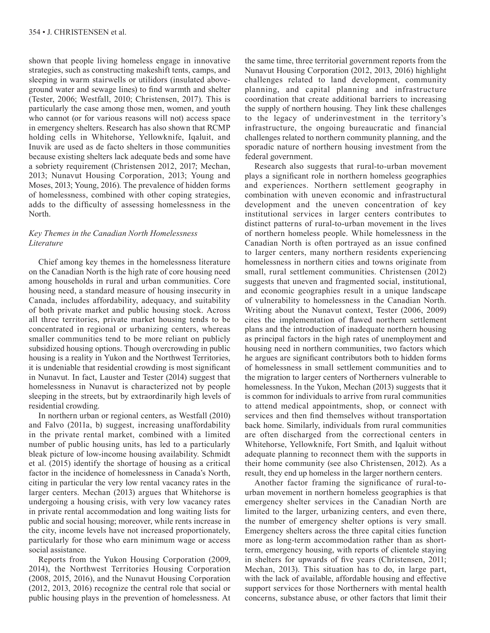shown that people living homeless engage in innovative strategies, such as constructing makeshift tents, camps, and sleeping in warm stairwells or utilidors (insulated aboveground water and sewage lines) to find warmth and shelter (Tester, 2006; Westfall, 2010; Christensen, 2017). This is particularly the case among those men, women, and youth who cannot (or for various reasons will not) access space in emergency shelters. Research has also shown that RCMP holding cells in Whitehorse, Yellowknife, Iqaluit, and Inuvik are used as de facto shelters in those communities because existing shelters lack adequate beds and some have a sobriety requirement (Christensen 2012, 2017; Mechan, 2013; Nunavut Housing Corporation, 2013; Young and Moses, 2013; Young, 2016). The prevalence of hidden forms of homelessness, combined with other coping strategies, adds to the difficulty of assessing homelessness in the North.

# *Key Themes in the Canadian North Homelessness Literature*

Chief among key themes in the homelessness literature on the Canadian North is the high rate of core housing need among households in rural and urban communities. Core housing need, a standard measure of housing insecurity in Canada, includes affordability, adequacy, and suitability of both private market and public housing stock. Across all three territories, private market housing tends to be concentrated in regional or urbanizing centers, whereas smaller communities tend to be more reliant on publicly subsidized housing options. Though overcrowding in public housing is a reality in Yukon and the Northwest Territories, it is undeniable that residential crowding is most significant in Nunavut. In fact, Lauster and Tester (2014) suggest that homelessness in Nunavut is characterized not by people sleeping in the streets, but by extraordinarily high levels of residential crowding.

In northern urban or regional centers, as Westfall (2010) and Falvo (2011a, b) suggest, increasing unaffordability in the private rental market, combined with a limited number of public housing units, has led to a particularly bleak picture of low-income housing availability. Schmidt et al. (2015) identify the shortage of housing as a critical factor in the incidence of homelessness in Canada's North, citing in particular the very low rental vacancy rates in the larger centers. Mechan (2013) argues that Whitehorse is undergoing a housing crisis, with very low vacancy rates in private rental accommodation and long waiting lists for public and social housing; moreover, while rents increase in the city, income levels have not increased proportionately, particularly for those who earn minimum wage or access social assistance.

Reports from the Yukon Housing Corporation (2009, 2014), the Northwest Territories Housing Corporation (2008, 2015, 2016), and the Nunavut Housing Corporation (2012, 2013, 2016) recognize the central role that social or public housing plays in the prevention of homelessness. At

the same time, three territorial government reports from the Nunavut Housing Corporation (2012, 2013, 2016) highlight challenges related to land development, community planning, and capital planning and infrastructure coordination that create additional barriers to increasing the supply of northern housing. They link these challenges to the legacy of underinvestment in the territory's infrastructure, the ongoing bureaucratic and financial challenges related to northern community planning, and the sporadic nature of northern housing investment from the federal government.

Research also suggests that rural-to-urban movement plays a significant role in northern homeless geographies and experiences. Northern settlement geography in combination with uneven economic and infrastructural development and the uneven concentration of key institutional services in larger centers contributes to distinct patterns of rural-to-urban movement in the lives of northern homeless people. While homelessness in the Canadian North is often portrayed as an issue confined to larger centers, many northern residents experiencing homelessness in northern cities and towns originate from small, rural settlement communities. Christensen (2012) suggests that uneven and fragmented social, institutional, and economic geographies result in a unique landscape of vulnerability to homelessness in the Canadian North. Writing about the Nunavut context, Tester (2006, 2009) cites the implementation of flawed northern settlement plans and the introduction of inadequate northern housing as principal factors in the high rates of unemployment and housing need in northern communities, two factors which he argues are significant contributors both to hidden forms of homelessness in small settlement communities and to the migration to larger centers of Northerners vulnerable to homelessness. In the Yukon, Mechan (2013) suggests that it is common for individuals to arrive from rural communities to attend medical appointments, shop, or connect with services and then find themselves without transportation back home. Similarly, individuals from rural communities are often discharged from the correctional centers in Whitehorse, Yellowknife, Fort Smith, and Iqaluit without adequate planning to reconnect them with the supports in their home community (see also Christensen, 2012). As a result, they end up homeless in the larger northern centers.

Another factor framing the significance of rural-tourban movement in northern homeless geographies is that emergency shelter services in the Canadian North are limited to the larger, urbanizing centers, and even there, the number of emergency shelter options is very small. Emergency shelters across the three capital cities function more as long-term accommodation rather than as shortterm, emergency housing, with reports of clientele staying in shelters for upwards of five years (Christensen, 2011; Mechan, 2013). This situation has to do, in large part, with the lack of available, affordable housing and effective support services for those Northerners with mental health concerns, substance abuse, or other factors that limit their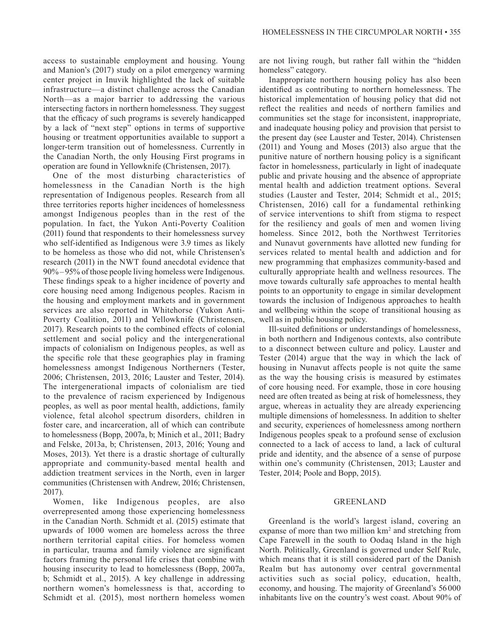access to sustainable employment and housing. Young and Manion's (2017) study on a pilot emergency warming center project in Inuvik highlighted the lack of suitable infrastructure—a distinct challenge across the Canadian North—as a major barrier to addressing the various intersecting factors in northern homelessness. They suggest that the efficacy of such programs is severely handicapped by a lack of "next step" options in terms of supportive housing or treatment opportunities available to support a longer-term transition out of homelessness. Currently in the Canadian North, the only Housing First programs in operation are found in Yellowknife (Christensen, 2017).

One of the most disturbing characteristics of homelessness in the Canadian North is the high representation of Indigenous peoples. Research from all three territories reports higher incidences of homelessness amongst Indigenous peoples than in the rest of the population. In fact, the Yukon Anti-Poverty Coalition (2011) found that respondents to their homelessness survey who self-identified as Indigenous were 3.9 times as likely to be homeless as those who did not, while Christensen's research (2011) in the NWT found anecdotal evidence that 90%– 95% of those people living homeless were Indigenous. These findings speak to a higher incidence of poverty and core housing need among Indigenous peoples. Racism in the housing and employment markets and in government services are also reported in Whitehorse (Yukon Anti-Poverty Coalition, 2011) and Yellowknife (Christensen, 2017). Research points to the combined effects of colonial settlement and social policy and the intergenerational impacts of colonialism on Indigenous peoples, as well as the specific role that these geographies play in framing homelessness amongst Indigenous Northerners (Tester, 2006; Christensen, 2013, 2016; Lauster and Tester, 2014). The intergenerational impacts of colonialism are tied to the prevalence of racism experienced by Indigenous peoples, as well as poor mental health, addictions, family violence, fetal alcohol spectrum disorders, children in foster care, and incarceration, all of which can contribute to homelessness (Bopp, 2007a, b; Minich et al., 2011; Badry and Felske, 2013a, b; Christensen, 2013, 2016; Young and Moses, 2013). Yet there is a drastic shortage of culturally appropriate and community-based mental health and addiction treatment services in the North, even in larger communities (Christensen with Andrew, 2016; Christensen, 2017).

Women, like Indigenous peoples, are also overrepresented among those experiencing homelessness in the Canadian North. Schmidt et al. (2015) estimate that upwards of 1000 women are homeless across the three northern territorial capital cities. For homeless women in particular, trauma and family violence are significant factors framing the personal life crises that combine with housing insecurity to lead to homelessness (Bopp, 2007a, b; Schmidt et al., 2015). A key challenge in addressing northern women's homelessness is that, according to Schmidt et al. (2015), most northern homeless women

are not living rough, but rather fall within the "hidden homeless" category.

Inappropriate northern housing policy has also been identified as contributing to northern homelessness. The historical implementation of housing policy that did not reflect the realities and needs of northern families and communities set the stage for inconsistent, inappropriate, and inadequate housing policy and provision that persist to the present day (see Lauster and Tester, 2014). Christensen (2011) and Young and Moses (2013) also argue that the punitive nature of northern housing policy is a significant factor in homelessness, particularly in light of inadequate public and private housing and the absence of appropriate mental health and addiction treatment options. Several studies (Lauster and Tester, 2014; Schmidt et al., 2015; Christensen, 2016) call for a fundamental rethinking of service interventions to shift from stigma to respect for the resiliency and goals of men and women living homeless. Since 2012, both the Northwest Territories and Nunavut governments have allotted new funding for services related to mental health and addiction and for new programming that emphasizes community-based and culturally appropriate health and wellness resources. The move towards culturally safe approaches to mental health points to an opportunity to engage in similar development towards the inclusion of Indigenous approaches to health and wellbeing within the scope of transitional housing as well as in public housing policy.

Ill-suited definitions or understandings of homelessness, in both northern and Indigenous contexts, also contribute to a disconnect between culture and policy. Lauster and Tester (2014) argue that the way in which the lack of housing in Nunavut affects people is not quite the same as the way the housing crisis is measured by estimates of core housing need. For example, those in core housing need are often treated as being at risk of homelessness, they argue, whereas in actuality they are already experiencing multiple dimensions of homelessness. In addition to shelter and security, experiences of homelessness among northern Indigenous peoples speak to a profound sense of exclusion connected to a lack of access to land, a lack of cultural pride and identity, and the absence of a sense of purpose within one's community (Christensen, 2013; Lauster and Tester, 2014; Poole and Bopp, 2015).

### GREENLAND

Greenland is the world's largest island, covering an expanse of more than two million km<sup>2</sup> and stretching from Cape Farewell in the south to Oodaq Island in the high North. Politically, Greenland is governed under Self Rule, which means that it is still considered part of the Danish Realm but has autonomy over central governmental activities such as social policy, education, health, economy, and housing. The majority of Greenland's 56000 inhabitants live on the country's west coast. About 90% of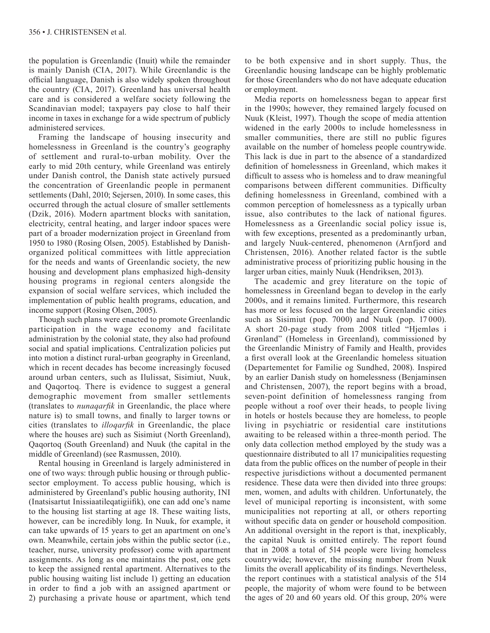the population is Greenlandic (Inuit) while the remainder is mainly Danish (CIA, 2017). While Greenlandic is the official language, Danish is also widely spoken throughout the country (CIA, 2017). Greenland has universal health care and is considered a welfare society following the Scandinavian model; taxpayers pay close to half their income in taxes in exchange for a wide spectrum of publicly administered services.

Framing the landscape of housing insecurity and homelessness in Greenland is the country's geography of settlement and rural-to-urban mobility. Over the early to mid 20th century, while Greenland was entirely under Danish control, the Danish state actively pursued the concentration of Greenlandic people in permanent settlements (Dahl, 2010; Sejersen, 2010). In some cases, this occurred through the actual closure of smaller settlements (Dzik, 2016). Modern apartment blocks with sanitation, electricity, central heating, and larger indoor spaces were part of a broader modernization project in Greenland from 1950 to 1980 (Rosing Olsen, 2005). Established by Danishorganized political committees with little appreciation for the needs and wants of Greenlandic society, the new housing and development plans emphasized high-density housing programs in regional centers alongside the expansion of social welfare services, which included the implementation of public health programs, education, and income support (Rosing Olsen, 2005).

Though such plans were enacted to promote Greenlandic participation in the wage economy and facilitate administration by the colonial state, they also had profound social and spatial implications. Centralization policies put into motion a distinct rural-urban geography in Greenland, which in recent decades has become increasingly focused around urban centers, such as Ilulissat, Sisimiut, Nuuk, and Qaqortoq. There is evidence to suggest a general demographic movement from smaller settlements (translates to *nunaqarfik* in Greenlandic, the place where nature is) to small towns, and finally to larger towns or cities (translates to *illoqarfik* in Greenlandic, the place where the houses are) such as Sisimiut (North Greenland), Qaqortoq (South Greenland) and Nuuk (the capital in the middle of Greenland) (see Rasmussen, 2010).

Rental housing in Greenland is largely administered in one of two ways: through public housing or through publicsector employment. To access public housing, which is administered by Greenland's public housing authority, INI (Inatsisartut Inissiaatileqatigiifik), one can add one's name to the housing list starting at age 18. These waiting lists, however, can be incredibly long. In Nuuk, for example, it can take upwards of 15 years to get an apartment on one's own. Meanwhile, certain jobs within the public sector (i.e., teacher, nurse, university professor) come with apartment assignments. As long as one maintains the post, one gets to keep the assigned rental apartment. Alternatives to the public housing waiting list include 1) getting an education in order to find a job with an assigned apartment or 2) purchasing a private house or apartment, which tend

to be both expensive and in short supply. Thus, the Greenlandic housing landscape can be highly problematic for those Greenlanders who do not have adequate education or employment.

Media reports on homelessness began to appear first in the 1990s; however, they remained largely focused on Nuuk (Kleist, 1997). Though the scope of media attention widened in the early 2000s to include homelessness in smaller communities, there are still no public figures available on the number of homeless people countrywide. This lack is due in part to the absence of a standardized definition of homelessness in Greenland, which makes it difficult to assess who is homeless and to draw meaningful comparisons between different communities. Difficulty defining homelessness in Greenland, combined with a common perception of homelessness as a typically urban issue, also contributes to the lack of national figures. Homelessness as a Greenlandic social policy issue is, with few exceptions, presented as a predominantly urban, and largely Nuuk-centered, phenomenon (Arnfjord and Christensen, 2016). Another related factor is the subtle administrative process of prioritizing public housing in the larger urban cities, mainly Nuuk (Hendriksen, 2013).

The academic and grey literature on the topic of homelessness in Greenland began to develop in the early 2000s, and it remains limited. Furthermore, this research has more or less focused on the larger Greenlandic cities such as Sisimiut (pop. 7000) and Nuuk (pop. 17 000). A short 20-page study from 2008 titled "Hjemløs i Grønland" (Homeless in Greenland), commissioned by the Greenlandic Ministry of Family and Health, provides a first overall look at the Greenlandic homeless situation (Departementet for Familie og Sundhed, 2008). Inspired by an earlier Danish study on homelessness (Benjaminsen and Christensen, 2007), the report begins with a broad, seven-point definition of homelessness ranging from people without a roof over their heads, to people living in hotels or hostels because they are homeless, to people living in psychiatric or residential care institutions awaiting to be released within a three-month period. The only data collection method employed by the study was a questionnaire distributed to all 17 municipalities requesting data from the public offices on the number of people in their respective jurisdictions without a documented permanent residence. These data were then divided into three groups: men, women, and adults with children. Unfortunately, the level of municipal reporting is inconsistent, with some municipalities not reporting at all, or others reporting without specific data on gender or household composition. An additional oversight in the report is that, inexplicably, the capital Nuuk is omitted entirely. The report found that in 2008 a total of 514 people were living homeless countrywide; however, the missing number from Nuuk limits the overall applicability of its findings. Nevertheless, the report continues with a statistical analysis of the 514 people, the majority of whom were found to be between the ages of 20 and 60 years old. Of this group, 20% were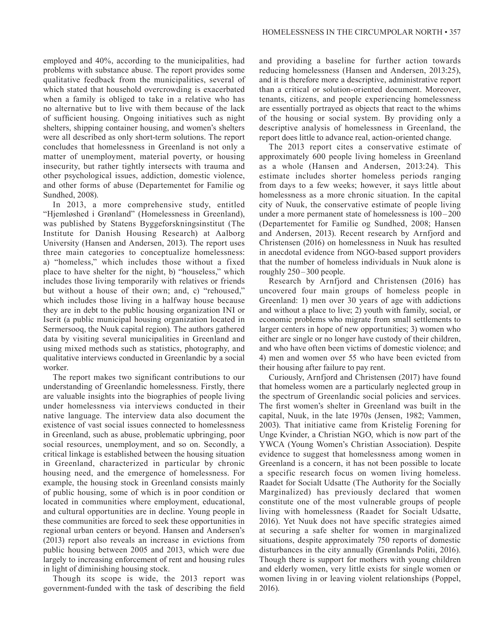employed and 40%, according to the municipalities, had problems with substance abuse. The report provides some qualitative feedback from the municipalities, several of which stated that household overcrowding is exacerbated when a family is obliged to take in a relative who has no alternative but to live with them because of the lack of sufficient housing. Ongoing initiatives such as night shelters, shipping container housing, and women's shelters were all described as only short-term solutions. The report concludes that homelessness in Greenland is not only a matter of unemployment, material poverty, or housing insecurity, but rather tightly intersects with trauma and other psychological issues, addiction, domestic violence, and other forms of abuse (Departementet for Familie og Sundhed, 2008).

In 2013, a more comprehensive study, entitled "Hjemløshed i Grønland" (Homelessness in Greenland), was published by Statens Byggeforskningsinstitut (The Institute for Danish Housing Research) at Aalborg University (Hansen and Andersen, 2013). The report uses three main categories to conceptualize homelessness: a) "homeless," which includes those without a fixed place to have shelter for the night, b) "houseless," which includes those living temporarily with relatives or friends but without a house of their own; and, c) "rehoused," which includes those living in a halfway house because they are in debt to the public housing organization INI or Iserit (a public municipal housing organization located in Sermersooq, the Nuuk capital region). The authors gathered data by visiting several municipalities in Greenland and using mixed methods such as statistics, photography, and qualitative interviews conducted in Greenlandic by a social worker.

The report makes two significant contributions to our understanding of Greenlandic homelessness. Firstly, there are valuable insights into the biographies of people living under homelessness via interviews conducted in their native language. The interview data also document the existence of vast social issues connected to homelessness in Greenland, such as abuse, problematic upbringing, poor social resources, unemployment, and so on. Secondly, a critical linkage is established between the housing situation in Greenland, characterized in particular by chronic housing need, and the emergence of homelessness. For example, the housing stock in Greenland consists mainly of public housing, some of which is in poor condition or located in communities where employment, educational, and cultural opportunities are in decline. Young people in these communities are forced to seek these opportunities in regional urban centers or beyond. Hansen and Andersen's (2013) report also reveals an increase in evictions from public housing between 2005 and 2013, which were due largely to increasing enforcement of rent and housing rules in light of diminishing housing stock.

Though its scope is wide, the 2013 report was government-funded with the task of describing the field

and providing a baseline for further action towards reducing homelessness (Hansen and Andersen, 2013:25), and it is therefore more a descriptive, administrative report than a critical or solution-oriented document. Moreover, tenants, citizens, and people experiencing homelessness are essentially portrayed as objects that react to the whims of the housing or social system. By providing only a descriptive analysis of homelessness in Greenland, the report does little to advance real, action-oriented change.

The 2013 report cites a conservative estimate of approximately 600 people living homeless in Greenland as a whole (Hansen and Andersen, 2013:24). This estimate includes shorter homeless periods ranging from days to a few weeks; however, it says little about homelessness as a more chronic situation. In the capital city of Nuuk, the conservative estimate of people living under a more permanent state of homelessness is 100 –200 (Departementet for Familie og Sundhed, 2008; Hansen and Andersen, 2013). Recent research by Arnfjord and Christensen (2016) on homelessness in Nuuk has resulted in anecdotal evidence from NGO-based support providers that the number of homeless individuals in Nuuk alone is roughly 250–300 people.

Research by Arnfjord and Christensen (2016) has uncovered four main groups of homeless people in Greenland: 1) men over 30 years of age with addictions and without a place to live; 2) youth with family, social, or economic problems who migrate from small settlements to larger centers in hope of new opportunities; 3) women who either are single or no longer have custody of their children, and who have often been victims of domestic violence; and 4) men and women over 55 who have been evicted from their housing after failure to pay rent.

Curiously, Arnfjord and Christensen (2017) have found that homeless women are a particularly neglected group in the spectrum of Greenlandic social policies and services. The first women's shelter in Greenland was built in the capital, Nuuk, in the late 1970s (Jensen, 1982; Vammen, 2003). That initiative came from Kristelig Forening for Unge Kvinder, a Christian NGO, which is now part of the YWCA (Young Women's Christian Association). Despite evidence to suggest that homelessness among women in Greenland is a concern, it has not been possible to locate a specific research focus on women living homeless. Raadet for Socialt Udsatte (The Authority for the Socially Marginalized) has previously declared that women constitute one of the most vulnerable groups of people living with homelessness (Raadet for Socialt Udsatte, 2016). Yet Nuuk does not have specific strategies aimed at securing a safe shelter for women in marginalized situations, despite approximately 750 reports of domestic disturbances in the city annually (Grønlands Politi, 2016). Though there is support for mothers with young children and elderly women, very little exists for single women or women living in or leaving violent relationships (Poppel, 2016).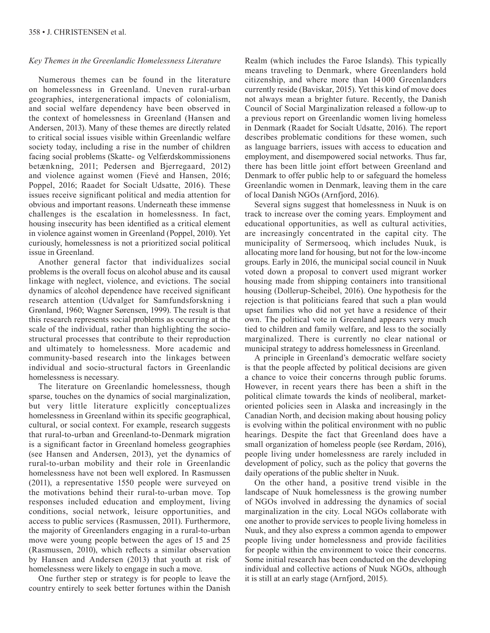# *Key Themes in the Greenlandic Homelessness Literature*

Numerous themes can be found in the literature on homelessness in Greenland. Uneven rural-urban geographies, intergenerational impacts of colonialism, and social welfare dependency have been observed in the context of homelessness in Greenland (Hansen and Andersen, 2013). Many of these themes are directly related to critical social issues visible within Greenlandic welfare society today, including a rise in the number of children facing social problems (Skatte- og Velfærdskommissionens betænkning, 2011; Pedersen and Bjerregaard, 2012) and violence against women (Fievé and Hansen, 2016; Poppel, 2016; Raadet for Socialt Udsatte, 2016). These issues receive significant political and media attention for obvious and important reasons. Underneath these immense challenges is the escalation in homelessness. In fact, housing insecurity has been identified as a critical element in violence against women in Greenland (Poppel, 2010). Yet curiously, homelessness is not a prioritized social political issue in Greenland.

Another general factor that individualizes social problems is the overall focus on alcohol abuse and its causal linkage with neglect, violence, and evictions. The social dynamics of alcohol dependence have received significant research attention (Udvalget for Samfundsforskning i Grønland, 1960; Wagner Sørensen, 1999). The result is that this research represents social problems as occurring at the scale of the individual, rather than highlighting the sociostructural processes that contribute to their reproduction and ultimately to homelessness. More academic and community-based research into the linkages between individual and socio-structural factors in Greenlandic homelessness is necessary.

The literature on Greenlandic homelessness, though sparse, touches on the dynamics of social marginalization, but very little literature explicitly conceptualizes homelessness in Greenland within its specific geographical, cultural, or social context. For example, research suggests that rural-to-urban and Greenland-to-Denmark migration is a significant factor in Greenland homeless geographies (see Hansen and Andersen, 2013), yet the dynamics of rural-to-urban mobility and their role in Greenlandic homelessness have not been well explored. In Rasmussen (2011), a representative 1550 people were surveyed on the motivations behind their rural-to-urban move. Top responses included education and employment, living conditions, social network, leisure opportunities, and access to public services (Rasmussen, 2011). Furthermore, the majority of Greenlanders engaging in a rural-to-urban move were young people between the ages of 15 and 25 (Rasmussen, 2010), which reflects a similar observation by Hansen and Andersen (2013) that youth at risk of homelessness were likely to engage in such a move.

One further step or strategy is for people to leave the country entirely to seek better fortunes within the Danish Realm (which includes the Faroe Islands). This typically means traveling to Denmark, where Greenlanders hold citizenship, and where more than 14 000 Greenlanders currently reside (Baviskar, 2015). Yet this kind of move does not always mean a brighter future. Recently, the Danish Council of Social Marginalization released a follow-up to a previous report on Greenlandic women living homeless in Denmark (Raadet for Socialt Udsatte, 2016). The report describes problematic conditions for these women, such as language barriers, issues with access to education and employment, and disempowered social networks. Thus far, there has been little joint effort between Greenland and Denmark to offer public help to or safeguard the homeless Greenlandic women in Denmark, leaving them in the care of local Danish NGOs (Arnfjord, 2016).

Several signs suggest that homelessness in Nuuk is on track to increase over the coming years. Employment and educational opportunities, as well as cultural activities, are increasingly concentrated in the capital city. The municipality of Sermersooq, which includes Nuuk, is allocating more land for housing, but not for the low-income groups. Early in 2016, the municipal social council in Nuuk voted down a proposal to convert used migrant worker housing made from shipping containers into transitional housing (Dollerup-Scheibel, 2016). One hypothesis for the rejection is that politicians feared that such a plan would upset families who did not yet have a residence of their own. The political vote in Greenland appears very much tied to children and family welfare, and less to the socially marginalized. There is currently no clear national or municipal strategy to address homelessness in Greenland.

A principle in Greenland's democratic welfare society is that the people affected by political decisions are given a chance to voice their concerns through public forums. However, in recent years there has been a shift in the political climate towards the kinds of neoliberal, marketoriented policies seen in Alaska and increasingly in the Canadian North, and decision making about housing policy is evolving within the political environment with no public hearings. Despite the fact that Greenland does have a small organization of homeless people (see Rørdam, 2016), people living under homelessness are rarely included in development of policy, such as the policy that governs the daily operations of the public shelter in Nuuk.

On the other hand, a positive trend visible in the landscape of Nuuk homelessness is the growing number of NGOs involved in addressing the dynamics of social marginalization in the city. Local NGOs collaborate with one another to provide services to people living homeless in Nuuk, and they also express a common agenda to empower people living under homelessness and provide facilities for people within the environment to voice their concerns. Some initial research has been conducted on the developing individual and collective actions of Nuuk NGOs, although it is still at an early stage (Arnfjord, 2015).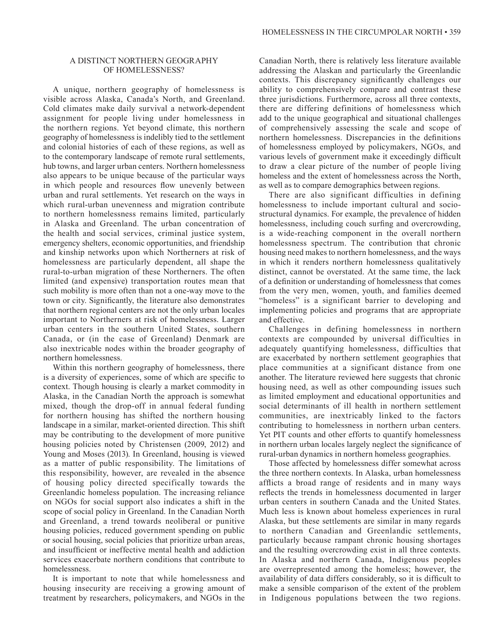# A DISTINCT NORTHERN GEOGRAPHY OF HOMELESSNESS?

A unique, northern geography of homelessness is visible across Alaska, Canada's North, and Greenland. Cold climates make daily survival a network-dependent assignment for people living under homelessness in the northern regions. Yet beyond climate, this northern geography of homelessness is indelibly tied to the settlement and colonial histories of each of these regions, as well as to the contemporary landscape of remote rural settlements, hub towns, and larger urban centers. Northern homelessness also appears to be unique because of the particular ways in which people and resources flow unevenly between urban and rural settlements. Yet research on the ways in which rural-urban unevenness and migration contribute to northern homelessness remains limited, particularly in Alaska and Greenland. The urban concentration of the health and social services, criminal justice system, emergency shelters, economic opportunities, and friendship and kinship networks upon which Northerners at risk of homelessness are particularly dependent, all shape the rural-to-urban migration of these Northerners. The often limited (and expensive) transportation routes mean that such mobility is more often than not a one-way move to the town or city. Significantly, the literature also demonstrates that northern regional centers are not the only urban locales important to Northerners at risk of homelessness. Larger urban centers in the southern United States, southern Canada, or (in the case of Greenland) Denmark are also inextricable nodes within the broader geography of northern homelessness.

Within this northern geography of homelessness, there is a diversity of experiences, some of which are specific to context. Though housing is clearly a market commodity in Alaska, in the Canadian North the approach is somewhat mixed, though the drop-off in annual federal funding for northern housing has shifted the northern housing landscape in a similar, market-oriented direction. This shift may be contributing to the development of more punitive housing policies noted by Christensen (2009, 2012) and Young and Moses (2013). In Greenland, housing is viewed as a matter of public responsibility. The limitations of this responsibility, however, are revealed in the absence of housing policy directed specifically towards the Greenlandic homeless population. The increasing reliance on NGOs for social support also indicates a shift in the scope of social policy in Greenland. In the Canadian North and Greenland, a trend towards neoliberal or punitive housing policies, reduced government spending on public or social housing, social policies that prioritize urban areas, and insufficient or ineffective mental health and addiction services exacerbate northern conditions that contribute to homelessness.

It is important to note that while homelessness and housing insecurity are receiving a growing amount of treatment by researchers, policymakers, and NGOs in the

Canadian North, there is relatively less literature available addressing the Alaskan and particularly the Greenlandic contexts. This discrepancy significantly challenges our ability to comprehensively compare and contrast these three jurisdictions. Furthermore, across all three contexts, there are differing definitions of homelessness which add to the unique geographical and situational challenges of comprehensively assessing the scale and scope of northern homelessness. Discrepancies in the definitions of homelessness employed by policymakers, NGOs, and various levels of government make it exceedingly difficult to draw a clear picture of the number of people living homeless and the extent of homelessness across the North, as well as to compare demographics between regions.

There are also significant difficulties in defining homelessness to include important cultural and sociostructural dynamics. For example, the prevalence of hidden homelessness, including couch surfing and overcrowding, is a wide-reaching component in the overall northern homelessness spectrum. The contribution that chronic housing need makes to northern homelessness, and the ways in which it renders northern homelessness qualitatively distinct, cannot be overstated. At the same time, the lack of a definition or understanding of homelessness that comes from the very men, women, youth, and families deemed "homeless" is a significant barrier to developing and implementing policies and programs that are appropriate and effective.

Challenges in defining homelessness in northern contexts are compounded by universal difficulties in adequately quantifying homelessness, difficulties that are exacerbated by northern settlement geographies that place communities at a significant distance from one another. The literature reviewed here suggests that chronic housing need, as well as other compounding issues such as limited employment and educational opportunities and social determinants of ill health in northern settlement communities, are inextricably linked to the factors contributing to homelessness in northern urban centers. Yet PIT counts and other efforts to quantify homelessness in northern urban locales largely neglect the significance of rural-urban dynamics in northern homeless geographies.

Those affected by homelessness differ somewhat across the three northern contexts. In Alaska, urban homelessness afflicts a broad range of residents and in many ways reflects the trends in homelessness documented in larger urban centers in southern Canada and the United States. Much less is known about homeless experiences in rural Alaska, but these settlements are similar in many regards to northern Canadian and Greenlandic settlements, particularly because rampant chronic housing shortages and the resulting overcrowding exist in all three contexts. In Alaska and northern Canada, Indigenous peoples are overrepresented among the homeless; however, the availability of data differs considerably, so it is difficult to make a sensible comparison of the extent of the problem in Indigenous populations between the two regions.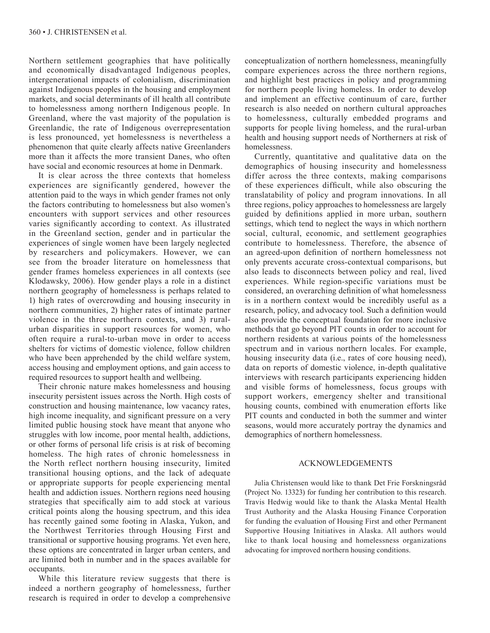Northern settlement geographies that have politically and economically disadvantaged Indigenous peoples, intergenerational impacts of colonialism, discrimination against Indigenous peoples in the housing and employment markets, and social determinants of ill health all contribute to homelessness among northern Indigenous people. In Greenland, where the vast majority of the population is Greenlandic, the rate of Indigenous overrepresentation is less pronounced, yet homelessness is nevertheless a phenomenon that quite clearly affects native Greenlanders more than it affects the more transient Danes, who often have social and economic resources at home in Denmark.

It is clear across the three contexts that homeless experiences are significantly gendered, however the attention paid to the ways in which gender frames not only the factors contributing to homelessness but also women's encounters with support services and other resources varies significantly according to context. As illustrated in the Greenland section, gender and in particular the experiences of single women have been largely neglected by researchers and policymakers. However, we can see from the broader literature on homelessness that gender frames homeless experiences in all contexts (see Klodawsky, 2006). How gender plays a role in a distinct northern geography of homelessness is perhaps related to 1) high rates of overcrowding and housing insecurity in northern communities, 2) higher rates of intimate partner violence in the three northern contexts, and 3) ruralurban disparities in support resources for women, who often require a rural-to-urban move in order to access shelters for victims of domestic violence, follow children who have been apprehended by the child welfare system, access housing and employment options, and gain access to required resources to support health and wellbeing.

Their chronic nature makes homelessness and housing insecurity persistent issues across the North. High costs of construction and housing maintenance, low vacancy rates, high income inequality, and significant pressure on a very limited public housing stock have meant that anyone who struggles with low income, poor mental health, addictions, or other forms of personal life crisis is at risk of becoming homeless. The high rates of chronic homelessness in the North reflect northern housing insecurity, limited transitional housing options, and the lack of adequate or appropriate supports for people experiencing mental health and addiction issues. Northern regions need housing strategies that specifically aim to add stock at various critical points along the housing spectrum, and this idea has recently gained some footing in Alaska, Yukon, and the Northwest Territories through Housing First and transitional or supportive housing programs. Yet even here, these options are concentrated in larger urban centers, and are limited both in number and in the spaces available for occupants.

While this literature review suggests that there is indeed a northern geography of homelessness, further research is required in order to develop a comprehensive

conceptualization of northern homelessness, meaningfully compare experiences across the three northern regions, and highlight best practices in policy and programming for northern people living homeless. In order to develop and implement an effective continuum of care, further research is also needed on northern cultural approaches to homelessness, culturally embedded programs and supports for people living homeless, and the rural-urban health and housing support needs of Northerners at risk of homelessness.

Currently, quantitative and qualitative data on the demographics of housing insecurity and homelessness differ across the three contexts, making comparisons of these experiences difficult, while also obscuring the translatability of policy and program innovations. In all three regions, policy approaches to homelessness are largely guided by definitions applied in more urban, southern settings, which tend to neglect the ways in which northern social, cultural, economic, and settlement geographies contribute to homelessness. Therefore, the absence of an agreed-upon definition of northern homelessness not only prevents accurate cross-contextual comparisons, but also leads to disconnects between policy and real, lived experiences. While region-specific variations must be considered, an overarching definition of what homelessness is in a northern context would be incredibly useful as a research, policy, and advocacy tool. Such a definition would also provide the conceptual foundation for more inclusive methods that go beyond PIT counts in order to account for northern residents at various points of the homelessness spectrum and in various northern locales. For example, housing insecurity data (i.e., rates of core housing need), data on reports of domestic violence, in-depth qualitative interviews with research participants experiencing hidden and visible forms of homelessness, focus groups with support workers, emergency shelter and transitional housing counts, combined with enumeration efforts like PIT counts and conducted in both the summer and winter seasons, would more accurately portray the dynamics and demographics of northern homelessness.

## ACKNOWLEDGEMENTS

Julia Christensen would like to thank Det Frie Forskningsråd (Project No. 13323) for funding her contribution to this research. Travis Hedwig would like to thank the Alaska Mental Health Trust Authority and the Alaska Housing Finance Corporation for funding the evaluation of Housing First and other Permanent Supportive Housing Initiatives in Alaska. All authors would like to thank local housing and homelessness organizations advocating for improved northern housing conditions.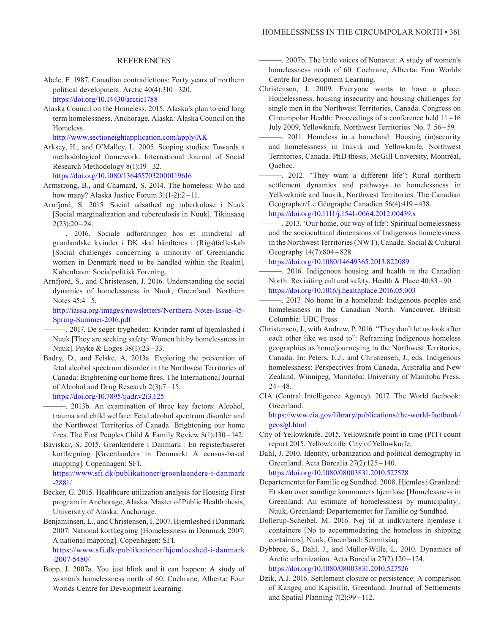## REFERENCES

- Abele, F. 1987. Canadian contradictions: Forty years of northern political development. Arctic 40(4):310 –320. <https://doi.org/10.14430/arctic1788>
- Alaska Council on the Homeless. 2015. Alaska's plan to end long term homelessness. Anchorage, Alaska: Alaska Council on the Homeless.

<http://www.sectioneightapplication.com/apply/AK>

Arksey, H., and O'Malley, L. 2005. Scoping studies: Towards a methodological framework. International Journal of Social Research Methodology 8(1):19–32.

<https://doi.org/10.1080/1364557032000119616>

- Armstrong, B., and Chamard, S. 2014. The homeless: Who and how many? Alaska Justice Forum 31(1-2):2-11.
- Arnfjord, S. 2015. Social udsathed og tuberkulose i Nuuk [Social marginalization and tuberculosis in Nuuk]. Tikiusaaq  $2(23):20 - 24.$

———. 2016. Sociale udfordringer hos et mindretal af grønlandske kvinder i DK skal håndteres i (Rigs)fælleskab [Social challenges concerning a minority of Greenlandic women in Denmark need to be handled within the Realm]. København: Socialpolitisk Forening.

Arnfjord, S., and Christensen, J. 2016. Understanding the social dynamics of homelessness in Nuuk, Greenland. Northern Notes 45:4 – 5.

[http://iassa.org/images/newsletters/Northern-Notes-Issue-45-](http://iassa.org/images/newsletters/Northern-Notes-Issue-45-Spring-Summer-2016.pdf) [Spring-Summer-2016.pdf](http://iassa.org/images/newsletters/Northern-Notes-Issue-45-Spring-Summer-2016.pdf) 

———. 2017. De søger trygheden: Kvinder ramt af hjemløshed i Nuuk [They are seeking safety: Women hit by homelessness in Nuuk]. Psyke & Logos 38(1):23 –33.

Badry, D., and Felske, A. 2013a. Exploring the prevention of fetal alcohol spectrum disorder in the Northwest Territories of Canada: Brightening our home fires. The International Journal of Alcohol and Drug Research 2(3):7 – 15. <https://doi.org/10.7895/ijadr.v2i3.125>

———. 2013b. An examination of three key factors: Alcohol, trauma and child welfare: Fetal alcohol spectrum disorder and the Northwest Territories of Canada. Brightening our home fires. The First Peoples Child & Family Review 8(1):130 – 142.

Baviskar, S. 2015. Grønlændere i Danmark : En registerbaseret kortlægning [Greenlanders in Denmark: A census-based mapping]. Copenhagen: SFI.

<https://www.sfi.dk/publikationer/groenlaendere-i-danmark> -2881/

- Becker, G. 2015. Healthcare utilization analysis for Housing First program in Anchorage, Alaska. Master of Public Health thesis, University of Alaska, Anchorage.
- Benjaminsen, L., and Christensen, I. 2007. Hjemløshed i Danmark 2007: National kortlægning [Homelessness in Denmark 2007: A national mapping]. Copenhagen: SFI. <https://www.sfi.dk/publikationer/hjemloeshed-i-danmark>

-2007-5480/ Bopp, J. 2007a. You just blink and it can happen: A study of women's homelessness north of 60. Cochrane, Alberta: Four Worlds Centre for Development Learning.

———. 2007b. The little voices of Nunavut: A study of women's homelessness north of 60. Cochrane, Alberta: Four Worlds Centre for Development Learning.

- Christensen, J. 2009. Everyone wants to have a place: Homelessness, housing insecurity and housing challenges for single men in the Northwest Territories, Canada. Congress on Circumpolar Health: Proceedings of a conference held 11 – 16 July 2009, Yellowknife, Northwest Territories. No. 7. 56 –59.
- ———. 2011. Homeless in a homeland: Housing (in)security and homelessness in Inuvik and Yellowknife, Northwest Territories, Canada. PhD thesis, McGill University, Montréal, Québec.

. 2012. "They want a different life": Rural northern settlement dynamics and pathways to homelessness in Yellowknife and Inuvik, Northwest Territories. The Canadian Geographer/Le Géographe Canadien 56(4):419 –438. <https://doi.org/10.1111/j.1541-0064.2012.00439.x>

———. 2013. 'Our home, our way of life': Spiritual homelessness and the sociocultural dimensions of Indigenous homelessness in the Northwest Territories (NWT), Canada. Social & Cultural

<https://doi.org/10.1080/14649365.2013.822089>

Geography 14(7):804–828.

———. 2016. Indigenous housing and health in the Canadian North: Revisiting cultural safety. Health & Place 40:83 – 90. <https://doi.org/10.1016/j.healthplace.2016.05.003>

-. 2017. No home in a homeland: Indigenous peoples and homelessness in the Canadian North. Vancouver, British Columbia: UBC Press.

- Christensen, J., with Andrew, P. 2016. "They don't let us look after each other like we used to": Reframing Indigenous homeless geographies as home/journeying in the Northwest Territories, Canada. In: Peters, E.J., and Christensen, J., eds. Indigenous homelessness: Perspectives from Canada, Australia and New Zealand. Winnipeg, Manitoba: University of Manitoba Press. 24–48.
- CIA (Central Intelligence Agency). 2017. The World factbook: Greenland.

[https://www.cia.gov/library/publications/the-world-factbook/](https://www.cia.gov/library/publications/the-world-factbook/geos/gl.html) [geos/gl.html](https://www.cia.gov/library/publications/the-world-factbook/geos/gl.html)

City of Yellowknife. 2015. Yellowknife point in time (PIT) count report 2015. Yellowknife: City of Yellowknife.

Dahl, J. 2010. Identity, urbanization and political demography in Greenland. Acta Borealia 27(2):125 –140. <https://doi.org/10.1080/08003831.2010.527528>

Departementet for Familie og Sundhed. 2008. Hjemløs i Grønland: Et skøn over samtlige kommuners hjemløse [Homelessness in Greenland: An estimate of homelessness by municipality]. Nuuk, Greenland: Departementet for Familie og Sundhed.

- Dollerup-Scheibel, M. 2016. Nej til at indkvartere hjemløse i containere [No to accommodating the homeless in shipping containers]. Nuuk, Greenland: Sermitsiaq.
- Dybbroe, S., Dahl, J., and Müller-Wille, L. 2010. Dynamics of Arctic urbanization. Acta Borealia 27(2):120 – 124. <https://doi.org/10.1080/08003831.2010.527526>
- Dzik, A.J. 2016. Settlement closure or persistence: A comparison of Kangeq and Kapisillit, Greenland. Journal of Settlements and Spatial Planning 7(2):99–112.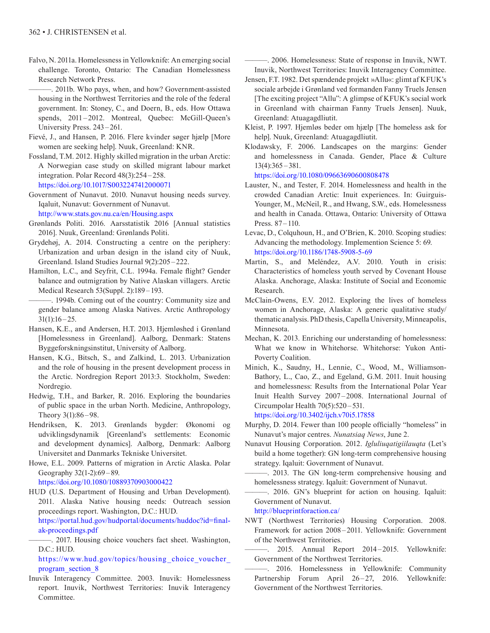Falvo, N. 2011a. Homelessness in Yellowknife: An emerging social challenge. Toronto, Ontario: The Canadian Homelessness Research Network Press.

———. 2011b. Who pays, when, and how? Government-assisted housing in the Northwest Territories and the role of the federal government. In: Stoney, C., and Doern, B., eds. How Ottawa spends, 2011-2012. Montreal, Quebec: McGill-Queen's University Press. 243 –261.

- Fievé, J., and Hansen, P. 2016. Flere kvinder søger hjælp [More women are seeking help]. Nuuk, Greenland: KNR.
- Fossland, T.M. 2012. Highly skilled migration in the urban Arctic: A Norwegian case study on skilled migrant labour market integration. Polar Record 48(3):254 – 258. <https://doi.org/10.1017/S0032247412000071>
- Government of Nunavut. 2010. Nunavut housing needs survey. Iqaluit, Nunavut: Government of Nunavut. <http://www.stats.gov.nu.ca/en/Housing.aspx>
- Grønlands Politi. 2016. Aarsstatistik 2016 [Annual statistics 2016]. Nuuk, Greenland: Grønlands Politi.
- Grydehøj, A. 2014. Constructing a centre on the periphery: Urbanization and urban design in the island city of Nuuk, Greenland. Island Studies Journal 9(2):205 – 222.
- Hamilton, L.C., and Seyfrit, C.L. 1994a. Female flight? Gender balance and outmigration by Native Alaskan villagers. Arctic Medical Research 53(Suppl. 2):189 –193.

-. 1994b. Coming out of the country: Community size and gender balance among Alaska Natives. Arctic Anthropology  $31(1):16 - 25.$ 

Hansen, K.E., and Andersen, H.T. 2013. Hjemløshed i Grønland [Homelessness in Greenland]. Aalborg, Denmark: Statens Byggeforskningsinstitut, University of Aalborg.

- Hansen, K.G., Bitsch, S., and Zalkind, L. 2013. Urbanization and the role of housing in the present development process in the Arctic. Nordregion Report 2013:3. Stockholm, Sweden: Nordregio.
- Hedwig, T.H., and Barker, R. 2016. Exploring the boundaries of public space in the urban North. Medicine, Anthropology, Theory  $3(1)$ :86 – 98.
- Hendriksen, K. 2013. Grønlands bygder: Økonomi og udviklingsdynamik [Greenland's settlements: Economic and development dynamics]. Aalborg, Denmark: Aalborg Universitet and Danmarks Tekniske Universitet.

Howe, E.L. 2009. Patterns of migration in Arctic Alaska. Polar Geography 32(1-2):69– 89.

<https://doi.org/10.1080/10889370903000422>

HUD (U.S. Department of Housing and Urban Development). 2011. Alaska Native housing needs: Outreach session proceedings report. Washington, D.C.: HUD. [https://portal.hud.gov/hudportal/documents/huddoc?id=final-](https://portal.hud.gov/hudportal/documents/huddoc?id=final-ak-proceedings.pdf)

[ak-proceedings.pdf](https://portal.hud.gov/hudportal/documents/huddoc?id=final-ak-proceedings.pdf)

———. 2017. Housing choice vouchers fact sheet. Washington, D.C.: HUD.

https://www.hud.gov/topics/housing choice voucher [program\\_section\\_8](https://www.hud.gov/topics/housing_choice_voucher_program_section_8)

Inuvik Interagency Committee. 2003. Inuvik: Homelessness report. Inuvik, Northwest Territories: Inuvik Interagency Committee.

———. 2006. Homelessness: State of response in Inuvik, NWT. Inuvik, Northwest Territories: Inuvik Interagency Committee.

- Jensen, F.T. 1982. Det spændende projekt »Allu«: glimt af KFUK's sociale arbejde i Grønland ved formanden Fanny Truels Jensen [The exciting project "Allu": A glimpse of KFUK's social work in Greenland with chairman Fanny Truels Jensen]. Nuuk, Greenland: Atuagagdliutit.
- Kleist, P. 1997. Hjemløs beder om hjælp [The homeless ask for help]. Nuuk, Greenland: Atuagagdliutit.
- Klodawsky, F. 2006. Landscapes on the margins: Gender and homelessness in Canada. Gender, Place & Culture 13(4):365 –381.

<https://doi.org/10.1080/09663690600808478>

Lauster, N., and Tester, F. 2014. Homelessness and health in the crowded Canadian Arctic: Inuit experiences. In: Guirguis-Younger, M., McNeil, R., and Hwang, S.W., eds. Homelessness and health in Canada. Ottawa, Ontario: University of Ottawa Press. 87–110.

Levac, D., Colquhoun, H., and O'Brien, K. 2010. Scoping studies: Advancing the methodology. Implemention Science 5: 69. <https://doi.org/10.1186/1748-5908-5-69>

- Martin, S., and Meléndez, A.V. 2010. Youth in crisis: Characteristics of homeless youth served by Covenant House Alaska. Anchorage, Alaska: Institute of Social and Economic Research.
- McClain-Owens, E.V. 2012. Exploring the lives of homeless women in Anchorage, Alaska: A generic qualitative study/ thematic analysis. PhD thesis, Capella University, Minneapolis, Minnesota.
- Mechan, K. 2013. Enriching our understanding of homelessness: What we know in Whitehorse. Whitehorse: Yukon Anti-Poverty Coalition.
- Minich, K., Saudny, H., Lennie, C., Wood, M., Williamson-Bathory, L., Cao, Z., and Egeland, G.M. 2011. Inuit housing and homelessness: Results from the International Polar Year Inuit Health Survey 2007 –2008. International Journal of Circumpolar Health  $70(5)$ :  $520 - 531$ .

<https://doi.org/10.3402/ijch.v70i5.17858>

- Murphy, D. 2014. Fewer than 100 people officially "homeless" in Nunavut's major centres. *Nunatsiaq News*, June 2.
- Nunavut Housing Corporation. 2012. *Igluliuqatigiilauqta* (Let's build a home together): GN long-term comprehensive housing strategy. Iqaluit: Government of Nunavut.
	- ———. 2013. The GN long-term comprehensive housing and homelessness strategy. Iqaluit: Government of Nunavut.
- ———. 2016. GN's blueprint for action on housing. Iqaluit: Government of Nunavut.

<http://blueprintforaction.ca/>

- NWT (Northwest Territories) Housing Corporation. 2008. Framework for action 2008 –2011. Yellowknife: Government of the Northwest Territories.
- ———. 2015. Annual Report 2014 2015. Yellowknife: Government of the Northwest Territories.
- ———. 2016. Homelessness in Yellowknife: Community Partnership Forum April 26-27, 2016. Yellowknife: Government of the Northwest Territories.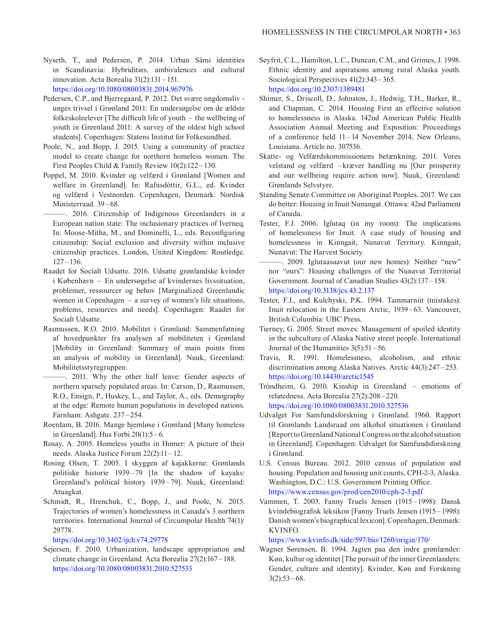Nyseth, T., and Pedersen, P. 2014. Urban Sámi identities in Scandinavia: Hybridities, ambivalences and cultural innovation. Acta Borealia 31(2):131 –151. <https://doi.org/10.1080/08003831.2014.967976>

- Pedersen, C.P., and Bjerregaard, P. 2012. Det svære ungdomsliv unges trivsel i Grønland 2011: En undersøgelse om de ældste folkeskoleelever [The difficult life of youth – the wellbeing of youth in Greenland 2011: A survey of the oldest high school students]. Copenhagen: Statens Institut for Folkesundhed.
- Poole, N., and Bopp, J. 2015. Using a community of practice model to create change for northern homeless women. The First Peoples Child & Family Review 10(2):122 –130.
- Poppel, M. 2010. Kvinder og velfærd i Grønland [Women and welfare in Greenland]. In: Rafnsdóttir, G.L., ed. Kvinder og velfærd i Vestnorden. Copenhagen, Denmark: Nordisk Ministerraad. 39–68.
- ———. 2016. Citizenship of Indigenous Greenlanders in a European nation state: The inclusionary practices of Iverneq. In: Moose-Mitha, M., and Dominelli, L., eds. Reconfiguring citizenship: Social exclusion and diversity within inclusive citizenship practices. London, United Kingdom: Routledge. 127–136.
- Raadet for Socialt Udsatte. 2016. Udsatte grønlandske kvinder i København – En undersøgelse af kvindernes livssituation, problemer, ressourcer og behov [Marginalized Greenlandic women in Copenhagen – a survey of women's life situations, problems, resources and needs]. Copenhagen: Raadet for Socialt Udsatte.
- Rasmussen, R.O. 2010. Mobilitet i Grønland: Sammenfatning af hovedpunkter fra analysen af mobiliteten i Grønland [Mobility in Greenland: Summary of main points from an analysis of mobility in Greenland]. Nuuk, Greenland: Mobilitetsstyregruppen.
	- ———. 2011. Why the other half leave: Gender aspects of northern sparsely populated areas. In: Carson, D., Rasmussen, R.O., Ensign, P., Huskey, L., and Taylor, A., eds. Demography at the edge: Remote human populations in developed nations. Farnham: Ashgate. 237–254.
- Roerdam, B. 2016. Mange hjemløse i Grønland [Many homeless in Greenland]. Hus Forbi  $20(1)$ :5-6.
- Rosay, A. 2005. Homeless youths in Homer: A picture of their needs. Alaska Justice Forum 22(2):11 –12.
- Rosing Olsen, T. 2005. I skyggen af kajakkerne: Grønlands politiske historie 1939 –79 [In the shadow of kayaks: Greenland's political history 1939 –79]. Nuuk, Greenland: Atuagkat.
- Schmidt, R., Hrenchuk, C., Bopp, J., and Poole, N. 2015. Trajectories of women's homelessness in Canada's 3 northern territories. International Journal of Circumpolar Health 74(1): 29778.

<https://doi.org/10.3402/ijch.v74.29778>

Sejersen, F. 2010. Urbanization, landscape appropriation and climate change in Greenland. Acta Borealia 27(2):167 – 188. <https://doi.org/10.1080/08003831.2010.527533>

- Seyfrit, C.L., Hamilton, L.C., Duncan, C.M., and Grimes, J. 1998. Ethnic identity and aspirations among rural Alaska youth. Sociological Perspectives 41(2):343–365. <https://doi.org/10.2307/1389481>
- Shimer, S., Driscoll, D., Johnston, J., Hedwig, T.H., Barker, R., and Chapman, C. 2014. Housing First an effective solution to homelessness in Alaska. 142nd American Public Health Association Annual Meeting and Exposition: Proceedings of a conference held 11 –14 November 2014, New Orleans, Louisiana. Article no. 307536.
- Skatte- og Velfærdskommissionens betænkning. 2011. Vores velstand og velfærd –kræver handling nu [Our prosperity and our wellbeing require action now]. Nuuk, Greenland: Grønlands Selvstyre.
- Standing Senate Committee on Aboriginal Peoples. 2017. We can do better: Housing in Inuit Nunangat. Ottawa: 42nd Parliament of Canada.
- Tester, F.J. 2006. Iglutaq (in my room): The implications of homelessness for Inuit. A case study of housing and homelessness in Kinngait, Nunavut Territory. Kinngait, Nunavut: The Harvest Society.
- ———. 2009. Iglutaasaavut (our new homes): Neither "new" nor "ours": Housing challenges of the Nunavut Territorial Government. Journal of Canadian Studies 43(2):137 – 158. <https://doi.org/10.3138/jcs.43.2.137>
- Tester, F.J., and Kulchyski, P.K. 1994. Tammarniit (mistakes): Inuit relocation in the Eastern Arctic, 1939–63. Vancouver, British Columbia: UBC Press.
- Tierney, G. 2005. Street moves: Management of spoiled identity in the subculture of Alaska Native street people. International Journal of the Humanities  $3(5):51-56$ .
- Travis, R. 1991. Homelessness, alcoholism, and ethnic discrimination among Alaska Natives. Arctic 44(3):247 – 253. <https://doi.org/10.14430/arctic1545>
- Tròndheim, G. 2010. Kinship in Greenland emotions of relatedness. Acta Borealia 27(2):208 –220. <https://doi.org/10.1080/08003831.2010.527536>
- Udvalget For Samfundsforskning i Grønland. 1960. Rapport til Grønlands Landsraad om alkohol situationen i Grønland [Report to Greenland National Congress on the alcohol situation in Greenland]. Copenhagen: Udvalget for Samfundsforskning i Grønland.
- U.S. Census Bureau. 2012. 2010 census of population and housing. Population and housing unit counts, CPH-2-3, Alaska. Washington, D.C.: U.S. Government Printing Office. <https://www.census.gov/prod/cen2010/cph-2-3.pdf>
- Vammen, T. 2003. Fanny Truels Jensen (1915 –1998): Dansk kvindebiografisk leksikon [Fanny Truels Jensen (1915 –1998): Danish women's biographical lexicon]. Copenhagen, Denmark: KVINFO.

<https://www.kvinfo.dk/side/597/bio/1260/origin/170/>

Wagner Sørensen, B. 1994. Jagten paa den indre grønlænder: Køn, kultur og identitet [The pursuit of the inner Greenlanders: Gender, culture and identity]. Kvinder, Køn and Forskning  $3(2):53-68.$